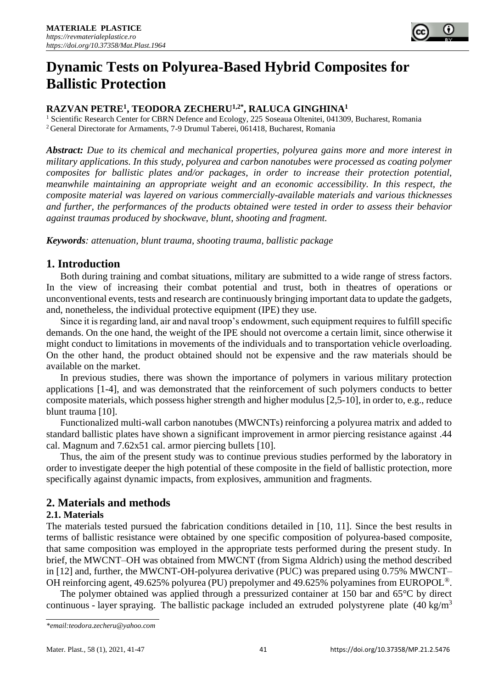

# **Dynamic Tests on Polyurea-Based Hybrid Composites for Ballistic Protection**

# **RAZVAN PETRE<sup>1</sup> , TEODORA ZECHERU1,2\*, RALUCA GINGHINA<sup>1</sup>**

<sup>1</sup> Scientific Research Center for CBRN Defence and Ecology, 225 Soseaua Oltenitei, 041309, Bucharest, Romania <sup>2</sup>General Directorate for Armaments, 7-9 Drumul Taberei, 061418, Bucharest, Romania

*Abstract: Due to its chemical and mechanical properties, polyurea gains more and more interest in military applications. In this study, polyurea and carbon nanotubes were processed as coating polymer composites for ballistic plates and/or packages, in order to increase their protection potential, meanwhile maintaining an appropriate weight and an economic accessibility. In this respect, the composite material was layered on various commercially-available materials and various thicknesses and further, the performances of the products obtained were tested in order to assess their behavior against traumas produced by shockwave, blunt, shooting and fragment.*

*Keywords: attenuation, blunt trauma, shooting trauma, ballistic package*

# **1. Introduction**

Both during training and combat situations, military are submitted to a wide range of stress factors. In the view of increasing their combat potential and trust, both in theatres of operations or unconventional events, tests and research are continuously bringing important data to update the gadgets, and, nonetheless, the individual protective equipment (IPE) they use.

Since it is regarding land, air and naval troop's endowment, such equipment requires to fulfill specific demands. On the one hand, the weight of the IPE should not overcome a certain limit, since otherwise it might conduct to limitations in movements of the individuals and to transportation vehicle overloading. On the other hand, the product obtained should not be expensive and the raw materials should be available on the market.

In previous studies, there was shown the importance of polymers in various military protection applications [1-4], and was demonstrated that the reinforcement of such polymers conducts to better composite materials, which possess higher strength and higher modulus [2,5-10], in order to, e.g., reduce blunt trauma [10].

Functionalized multi-wall carbon nanotubes (MWCNTs) reinforcing a polyurea matrix and added to standard ballistic plates have shown a significant improvement in armor piercing resistance against .44 cal. Magnum and 7.62x51 cal. armor piercing bullets [10].

Thus, the aim of the present study was to continue previous studies performed by the laboratory in order to investigate deeper the high potential of these composite in the field of ballistic protection, more specifically against dynamic impacts, from explosives, ammunition and fragments.

# **2. Materials and methods**

## **2.1. Materials**

The materials tested pursued the fabrication conditions detailed in [10, 11]. Since the best results in terms of ballistic resistance were obtained by one specific composition of polyurea-based composite, that same composition was employed in the appropriate tests performed during the present study. In brief, the MWCNT–OH was obtained from MWCNT (from Sigma Aldrich) using the method described in [12] and, further, the MWCNT-OH-polyurea derivative (PUC) was prepared using 0.75% MWCNT– OH reinforcing agent, 49.625% polyurea (PU) prepolymer and 49.625% polyamines from EUROPOL®.

The polymer obtained was applied through a pressurized container at 150 bar and 65°C by direct continuous - layer spraying. The ballistic package included an extruded polystyrene plate  $(40 \text{ kg/m}^3)$ 

*<sup>\*</sup>email[:teodora.zecheru@yahoo.com](mailto:teodora.zecheru@yahoo.com)*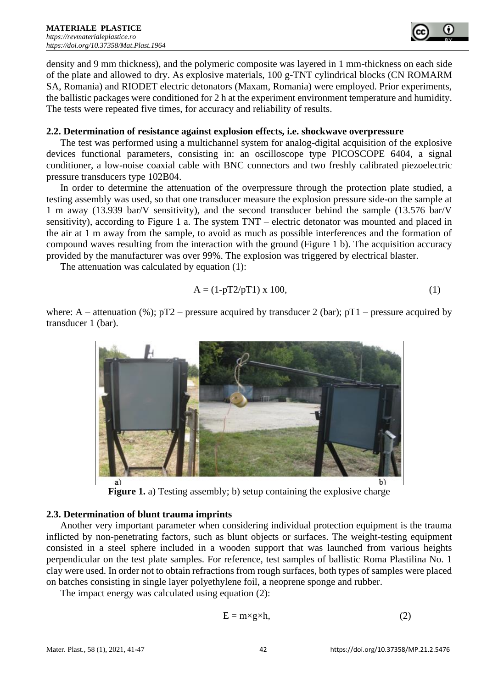

density and 9 mm thickness), and the polymeric composite was layered in 1 mm-thickness on each side of the plate and allowed to dry. As explosive materials, 100 g-TNT cylindrical blocks (CN ROMARM SA, Romania) and RIODET electric detonators (Maxam, Romania) were employed. Prior experiments, the ballistic packages were conditioned for 2 h at the experiment environment temperature and humidity. The tests were repeated five times, for accuracy and reliability of results.

#### **2.2. Determination of resistance against explosion effects, i.e. shockwave overpressure**

The test was performed using a multichannel system for analog-digital acquisition of the explosive devices functional parameters, consisting in: an oscilloscope type PICOSCOPE 6404, a signal conditioner, a low-noise coaxial cable with BNC connectors and two freshly calibrated piezoelectric pressure transducers type 102B04.

In order to determine the attenuation of the overpressure through the protection plate studied, a testing assembly was used, so that one transducer measure the explosion pressure side-on the sample at 1 m away (13.939 bar/V sensitivity), and the second transducer behind the sample (13.576 bar/V sensitivity), according to Figure 1 a. The system TNT – electric detonator was mounted and placed in the air at 1 m away from the sample, to avoid as much as possible interferences and the formation of compound waves resulting from the interaction with the ground (Figure 1 b). The acquisition accuracy provided by the manufacturer was over 99%. The explosion was triggered by electrical blaster.

The attenuation was calculated by equation (1):

$$
A = (1 - pT2/pT1) \times 100,
$$
 (1)

where: A – attenuation (%);  $pT2$  – pressure acquired by transducer 2 (bar);  $pT1$  – pressure acquired by transducer 1 (bar).



**Figure 1.** a) Testing assembly; b) setup containing the explosive charge

#### **2.3. Determination of blunt trauma imprints**

Another very important parameter when considering individual protection equipment is the trauma inflicted by non-penetrating factors, such as blunt objects or surfaces. The weight-testing equipment consisted in a steel sphere included in a wooden support that was launched from various heights perpendicular on the test plate samples. For reference, test samples of ballistic Roma Plastilina No. 1 clay were used. In order not to obtain refractions from rough surfaces, both types of samples were placed on batches consisting in single layer polyethylene foil, a neoprene sponge and rubber.

The impact energy was calculated using equation (2):

$$
E = m \times g \times h,\tag{2}
$$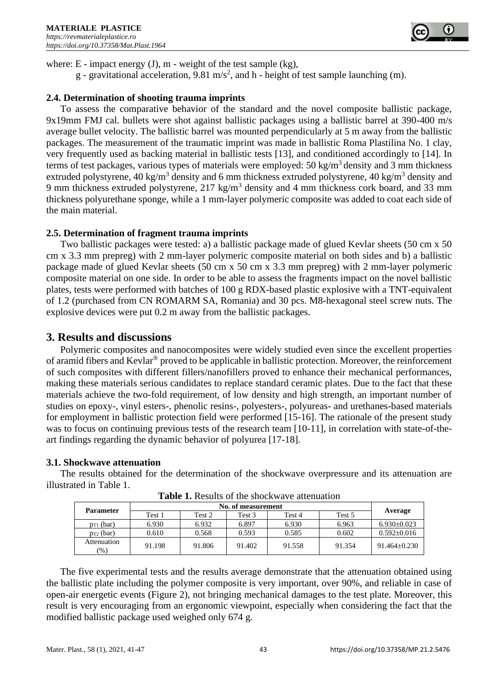

where:  $E$  - impact energy (J),  $m$  - weight of the test sample (kg),

g - gravitational acceleration, 9.81 m/s<sup>2</sup>, and h - height of test sample launching (m).

#### **2.4. Determination of shooting trauma imprints**

To assess the comparative behavior of the standard and the novel composite ballistic package, 9x19mm FMJ cal. bullets were shot against ballistic packages using a ballistic barrel at 390-400 m/s average bullet velocity. The ballistic barrel was mounted perpendicularly at 5 m away from the ballistic packages. The measurement of the traumatic imprint was made in ballistic Roma Plastilina No. 1 clay, very frequently used as backing material in ballistic tests [13], and conditioned accordingly to [14]. In terms of test packages, various types of materials were employed:  $50 \text{ kg/m}^3$  density and 3 mm thickness extruded polystyrene, 40 kg/m<sup>3</sup> density and 6 mm thickness extruded polystyrene, 40 kg/m<sup>3</sup> density and 9 mm thickness extruded polystyrene, 217 kg/m<sup>3</sup> density and 4 mm thickness cork board, and 33 mm thickness polyurethane sponge, while a 1 mm-layer polymeric composite was added to coat each side of the main material.

#### **2.5. Determination of fragment trauma imprints**

Two ballistic packages were tested: a) a ballistic package made of glued Kevlar sheets (50 cm x 50 cm x 3.3 mm prepreg) with 2 mm-layer polymeric composite material on both sides and b) a ballistic package made of glued Kevlar sheets (50 cm x 50 cm x 3.3 mm prepreg) with 2 mm-layer polymeric composite material on one side. In order to be able to assess the fragments impact on the novel ballistic plates, tests were performed with batches of 100 g RDX-based plastic explosive with a TNT-equivalent of 1.2 (purchased from CN ROMARM SA, Romania) and 30 pcs. M8-hexagonal steel screw nuts. The explosive devices were put 0.2 m away from the ballistic packages.

## **3. Results and discussions**

Polymeric composites and nanocomposites were widely studied even since the excellent properties of aramid fibers and Kevlar® proved to be applicable in ballistic protection. Moreover, the reinforcement of such composites with different fillers/nanofillers proved to enhance their mechanical performances, making these materials serious candidates to replace standard ceramic plates. Due to the fact that these materials achieve the two-fold requirement, of low density and high strength, an important number of studies on epoxy-, vinyl esters-, phenolic resins-, polyesters-, polyureas- and urethanes-based materials for employment in ballistic protection field were performed [15-16]. The rationale of the present study was to focus on continuing previous tests of the research team [10-11], in correlation with state-of-theart findings regarding the dynamic behavior of polyurea [17-18].

#### **3.1. Shockwave attenuation**

The results obtained for the determination of the shockwave overpressure and its attenuation are illustrated in Table 1.

| <b>Parameter</b>               | No. of measurement |        |        |        |        |                  |
|--------------------------------|--------------------|--------|--------|--------|--------|------------------|
|                                | Test 1             | Test 2 | Test 3 | Test 4 | Test 5 | Average          |
| $p_{T1}$ (bar)                 | 6.930              | 6.932  | 6.897  | 6.930  | 6.963  | $6.930+0.023$    |
| $p_{T2}$ (bar)                 | 0.610              | 0.568  | 0.593  | 0.585  | 0.602  | $0.592 + 0.016$  |
| Attenuation<br>$\frac{9}{6}$ ) | 91.198             | 91.806 | 91.402 | 91.558 | 91.354 | $91.464 + 0.230$ |

**Table 1.** Results of the shockwave attenuation

The five experimental tests and the results average demonstrate that the attenuation obtained using the ballistic plate including the polymer composite is very important, over 90%, and reliable in case of open-air energetic events (Figure 2), not bringing mechanical damages to the test plate. Moreover, this result is very encouraging from an ergonomic viewpoint, especially when considering the fact that the modified ballistic package used weighed only 674 g.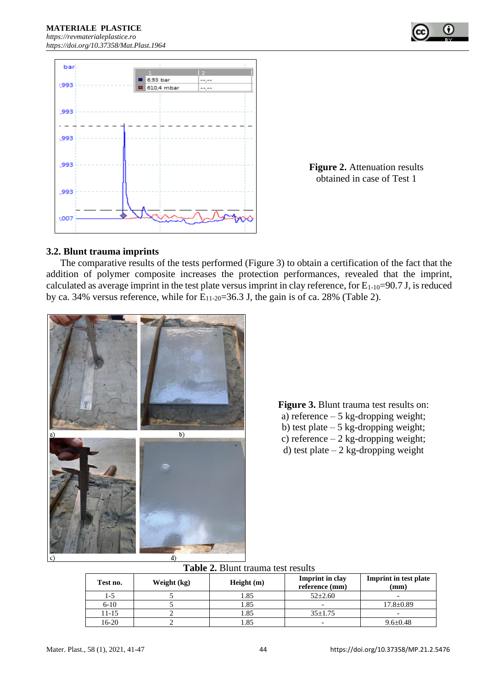

**Figure 2.** Attenuation results obtained in case of Test 1

#### **3.2. Blunt trauma imprints**

The comparative results of the tests performed (Figure 3) to obtain a certification of the fact that the addition of polymer composite increases the protection performances, revealed that the imprint, calculated as average imprint in the test plate versus imprint in clay reference, for  $E_{1-10}=90.7$  J, is reduced by ca. 34% versus reference, while for  $E_{11-20}=36.3$  J, the gain is of ca. 28% (Table 2).



**Figure 3.** Blunt trauma test results on: a) reference – 5 kg-dropping weight; b) test plate  $-5$  kg-dropping weight; c) reference  $-2$  kg-dropping weight; d) test plate  $-2$  kg-dropping weight

| <b>Table 2. Blunt trauma test results</b> |  |
|-------------------------------------------|--|
|-------------------------------------------|--|

| Test no. | Weight (kg) | Height(m) | <b>Imprint</b> in clay<br>reference (mm) | <b>Imprint in test plate</b><br>(mm) |
|----------|-------------|-----------|------------------------------------------|--------------------------------------|
|          |             | 1.85      | $52 \pm 2.60$                            |                                      |
| $6 - 10$ |             | l.85      | $\overline{\phantom{0}}$                 | $17.8 \pm 0.89$                      |
| 11-15    |             | .85       | $35 \pm 1.75$                            |                                      |
| 16-20    |             | .85       | $\overline{\phantom{0}}$                 | $9.6 \pm 0.48$                       |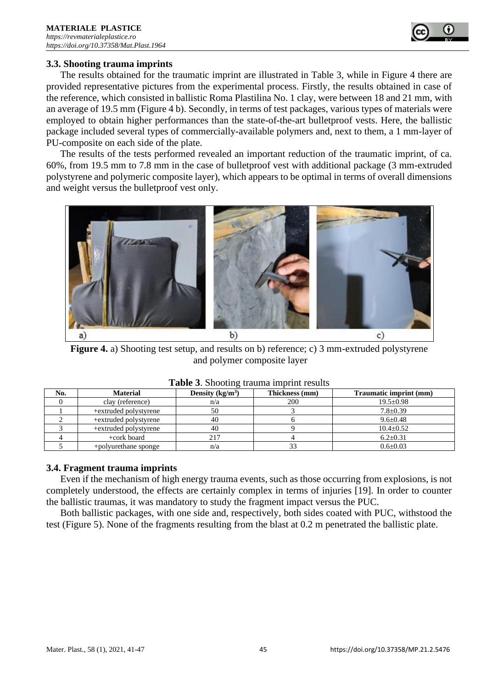

#### **3.3. Shooting trauma imprints**

The results obtained for the traumatic imprint are illustrated in Table 3, while in Figure 4 there are provided representative pictures from the experimental process. Firstly, the results obtained in case of the reference, which consisted in ballistic Roma Plastilina No. 1 clay, were between 18 and 21 mm, with an average of 19.5 mm (Figure 4 b). Secondly, in terms of test packages, various types of materials were employed to obtain higher performances than the state-of-the-art bulletproof vests. Here, the ballistic package included several types of commercially-available polymers and, next to them, a 1 mm-layer of PU-composite on each side of the plate.

The results of the tests performed revealed an important reduction of the traumatic imprint, of ca. 60%, from 19.5 mm to 7.8 mm in the case of bulletproof vest with additional package (3 mm-extruded polystyrene and polymeric composite layer), which appears to be optimal in terms of overall dimensions and weight versus the bulletproof vest only.



**Figure 4.** a) Shooting test setup, and results on b) reference; c) 3 mm-extruded polystyrene and polymer composite layer

| No. | <b>Material</b>       | Density $(kg/m^3)$ | Thickness (mm) | Traumatic imprint (mm) |  |  |
|-----|-----------------------|--------------------|----------------|------------------------|--|--|
|     | clay (reference)      | n/a                | 200            | $19.5 + 0.98$          |  |  |
|     | +extruded polystyrene | 50                 |                | $7.8 + 0.39$           |  |  |
|     | +extruded polystyrene | 40                 |                | $9.6 \pm 0.48$         |  |  |
|     | +extruded polystyrene | 40                 |                | $10.4 \pm 0.52$        |  |  |
|     | +cork board           | 217                |                | $6.2 \pm 0.31$         |  |  |
|     | +polyurethane sponge  | n/a                |                | $0.6 \pm 0.03$         |  |  |

|  | Table 3. Shooting trauma imprint results |  |  |  |  |  |
|--|------------------------------------------|--|--|--|--|--|
|--|------------------------------------------|--|--|--|--|--|

#### **3.4. Fragment trauma imprints**

Even if the mechanism of high energy trauma events, such as those occurring from explosions, is not completely understood, the effects are certainly complex in terms of injuries [19]. In order to counter the ballistic traumas, it was mandatory to study the fragment impact versus the PUC.

Both ballistic packages, with one side and, respectively, both sides coated with PUC, withstood the test (Figure 5). None of the fragments resulting from the blast at 0.2 m penetrated the ballistic plate.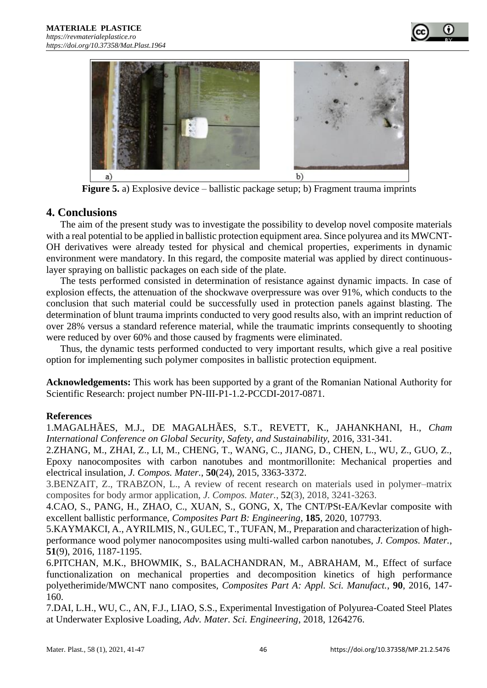



**Figure 5.** a) Explosive device – ballistic package setup; b) Fragment trauma imprints

# **4. Conclusions**

The aim of the present study was to investigate the possibility to develop novel composite materials with a real potential to be applied in ballistic protection equipment area. Since polyurea and its MWCNT-OH derivatives were already tested for physical and chemical properties, experiments in dynamic environment were mandatory. In this regard, the composite material was applied by direct continuouslayer spraying on ballistic packages on each side of the plate.

The tests performed consisted in determination of resistance against dynamic impacts. In case of explosion effects, the attenuation of the shockwave overpressure was over 91%, which conducts to the conclusion that such material could be successfully used in protection panels against blasting. The determination of blunt trauma imprints conducted to very good results also, with an imprint reduction of over 28% versus a standard reference material, while the traumatic imprints consequently to shooting were reduced by over 60% and those caused by fragments were eliminated.

Thus, the dynamic tests performed conducted to very important results, which give a real positive option for implementing such polymer composites in ballistic protection equipment.

**Acknowledgements:** This work has been supported by a grant of the Romanian National Authority for Scientific Research: project number PN-III-P1-1.2-PCCDI-2017-0871.

## **References**

1.MAGALHÃES, M.J., DE MAGALHÃES, S.T., REVETT, K., JAHANKHANI, H., *Cham International Conference on Global Security, Safety, and Sustainability,* 2016, 331-341.

2.ZHANG, M., ZHAI, Z., LI, M., CHENG, T., WANG, C., JIANG, D., CHEN, L., WU, Z., GUO, Z., Epoxy nanocomposites with carbon nanotubes and montmorillonite: Mechanical properties and electrical insulation, *J. Compos. Mater.*, **50**(24), 2015, 3363-3372.

3.BENZAIT, Z., TRABZON, L., A review of recent research on materials used in polymer–matrix composites for body armor application, *J. Compos. Mater.*, **52**(3), 2018, 3241-3263.

4.CAO, S., PANG, H., ZHAO, C., XUAN, S., GONG, X, The CNT/PSt-EA/Kevlar composite with excellent ballistic performance, *Composites Part B: Engineering*, **185**, 2020, 107793.

5.KAYMAKCI, A., AYRILMIS, N., GULEC, T., TUFAN, M., Preparation and characterization of highperformance wood polymer nanocomposites using multi-walled carbon nanotubes, *J. Compos. Mater.*, **51**(9), 2016, 1187-1195.

6.PITCHAN, M.K., BHOWMIK, S., BALACHANDRAN, M., ABRAHAM, M., Effect of surface functionalization on mechanical properties and decomposition kinetics of high performance polyetherimide/MWCNT nano composites, *Composites Part A: Appl. Sci. Manufact.*, **90**, 2016, 147- 160.

7.DAI, L.H., WU, C., AN, F.J., LIAO, S.S., Experimental Investigation of Polyurea-Coated Steel Plates at Underwater Explosive Loading, *Adv. Mater. Sci. Engineering*, 2018, 1264276.